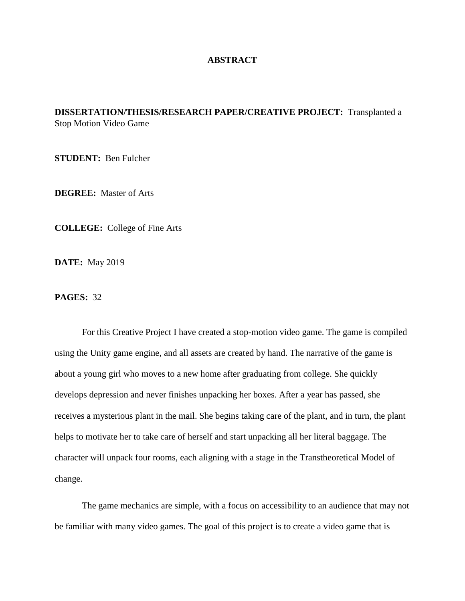## **ABSTRACT**

## **DISSERTATION/THESIS/RESEARCH PAPER/CREATIVE PROJECT:** Transplanted a Stop Motion Video Game

**STUDENT:** Ben Fulcher

**DEGREE:** Master of Arts

**COLLEGE:** College of Fine Arts

**DATE:** May 2019

**PAGES:** 32

For this Creative Project I have created a stop-motion video game. The game is compiled using the Unity game engine, and all assets are created by hand. The narrative of the game is about a young girl who moves to a new home after graduating from college. She quickly develops depression and never finishes unpacking her boxes. After a year has passed, she receives a mysterious plant in the mail. She begins taking care of the plant, and in turn, the plant helps to motivate her to take care of herself and start unpacking all her literal baggage. The character will unpack four rooms, each aligning with a stage in the Transtheoretical Model of change.

The game mechanics are simple, with a focus on accessibility to an audience that may not be familiar with many video games. The goal of this project is to create a video game that is